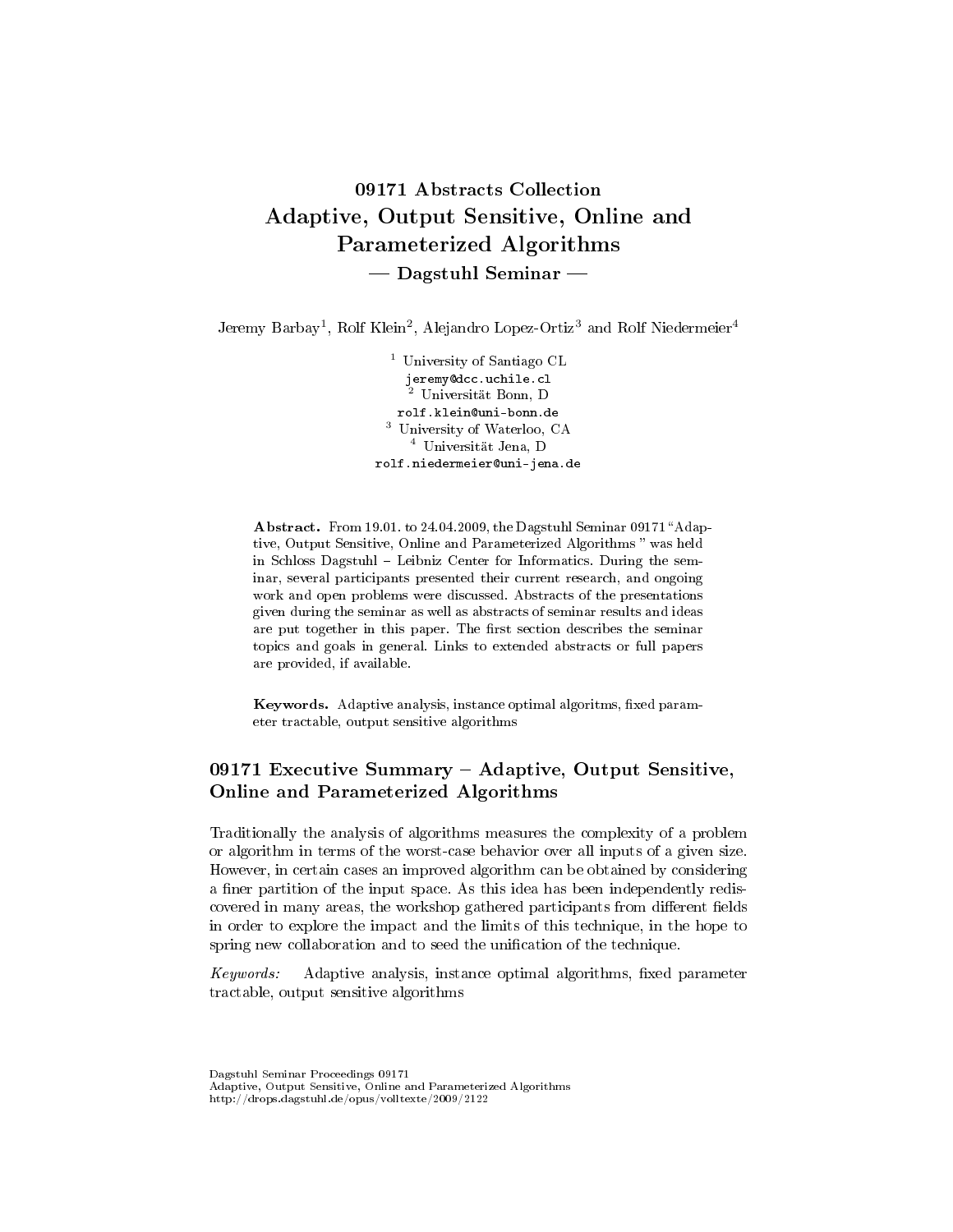# 09171 Abstracts Collection Adaptive, Output Sensitive, Online and Parameterized Algorithms  $-$  Dagstuhl Seminar  $-$

Jeremy Barbay<sup>1</sup>, Rolf Klein<sup>2</sup>, Alejandro Lopez-Ortiz<sup>3</sup> and Rolf Niedermeier<sup>4</sup>

<sup>1</sup> University of Santiago CL jeremy@dcc.uchile.cl <sup>2</sup> Universität Bonn, D rolf.klein@uni-bonn.de <sup>3</sup> University of Waterloo, CA <sup>4</sup> Universität Jena, D rolf.niedermeier@uni-jena.de

Abstract. From 19.01. to 24.04.2009, the Dagstuhl Seminar 09171 "Adaptive, Output Sensitive, Online and Parameterized Algorithms was held in Schloss Dagstuhl – Leibniz Center for Informatics. During the seminar, several participants presented their current research, and ongoing work and open problems were discussed. Abstracts of the presentations given during the seminar as well as abstracts of seminar results and ideas are put together in this paper. The first section describes the seminar topics and goals in general. Links to extended abstracts or full papers are provided, if available.

Keywords. Adaptive analysis, instance optimal algoritms, fixed parameter tractable, output sensitive algorithms

## 09171 Executive Summary - Adaptive, Output Sensitive, Online and Parameterized Algorithms

Traditionally the analysis of algorithms measures the complexity of a problem or algorithm in terms of the worst-case behavior over all inputs of a given size. However, in certain cases an improved algorithm can be obtained by considering a finer partition of the input space. As this idea has been independently rediscovered in many areas, the workshop gathered participants from different fields in order to explore the impact and the limits of this technique, in the hope to spring new collaboration and to seed the unification of the technique.

 $Keywords:$  Adaptive analysis, instance optimal algorithms, fixed parameter tractable, output sensitive algorithms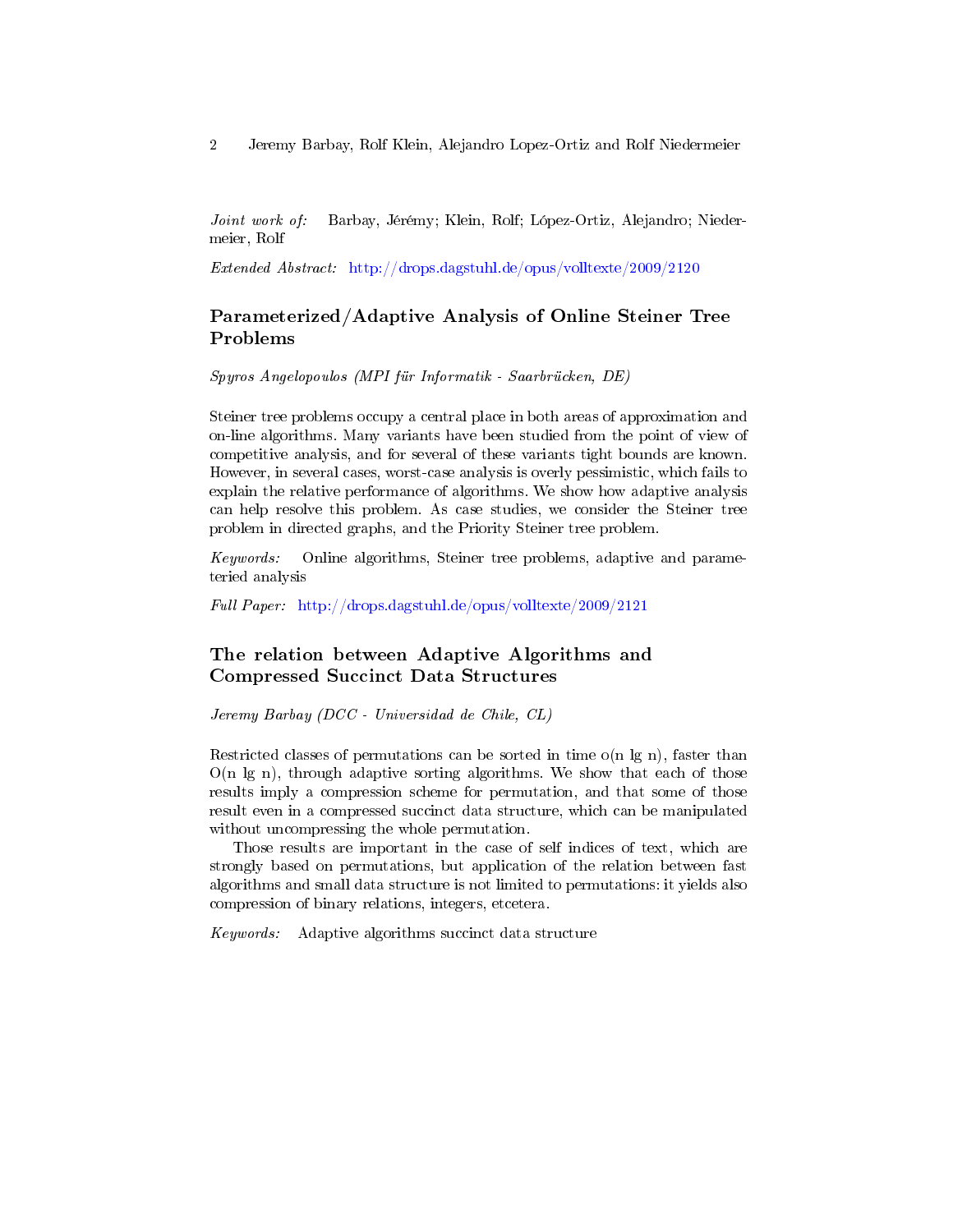Joint work of: Barbay, Jérémy; Klein, Rolf; López-Ortiz, Alejandro; Niedermeier, Rolf

Extended Abstract: <http://drops.dagstuhl.de/opus/volltexte/2009/2120>

## Parameterized/Adaptive Analysis of Online Steiner Tree Problems

Spyros Angelopoulos (MPI für Informatik - Saarbrücken, DE)

Steiner tree problems occupy a central place in both areas of approximation and on-line algorithms. Many variants have been studied from the point of view of competitive analysis, and for several of these variants tight bounds are known. However, in several cases, worst-case analysis is overly pessimistic, which fails to explain the relative performance of algorithms. We show how adaptive analysis can help resolve this problem. As case studies, we consider the Steiner tree problem in directed graphs, and the Priority Steiner tree problem.

Keywords: Online algorithms, Steiner tree problems, adaptive and parameteried analysis

Full Paper: <http://drops.dagstuhl.de/opus/volltexte/2009/2121>

## The relation between Adaptive Algorithms and Compressed Succinct Data Structures

Jeremy Barbay (DCC - Universidad de Chile, CL)

Restricted classes of permutations can be sorted in time  $o(n \lg n)$ , faster than  $O(n \lg n)$ , through adaptive sorting algorithms. We show that each of those results imply a compression scheme for permutation, and that some of those result even in a compressed succinct data structure, which can be manipulated without uncompressing the whole permutation.

Those results are important in the case of self indices of text, which are strongly based on permutations, but application of the relation between fast algorithms and small data structure is not limited to permutations: it yields also compression of binary relations, integers, etcetera.

Keywords: Adaptive algorithms succinct data structure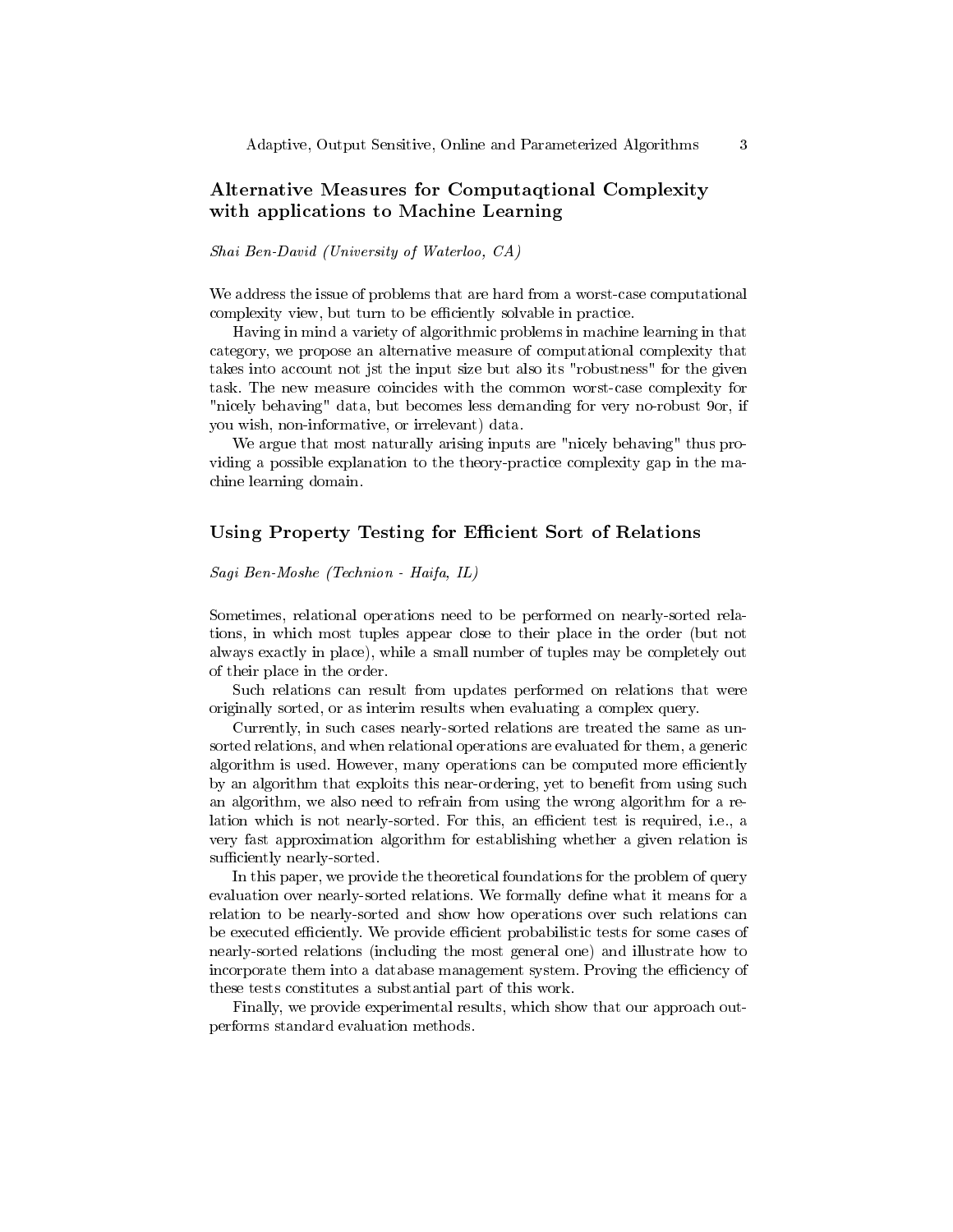## Alternative Measures for Computaqtional Complexity with applications to Machine Learning

#### Shai Ben-David (University of Waterloo, CA)

We address the issue of problems that are hard from a worst-case computational complexity view, but turn to be efficiently solvable in practice.

Having in mind a variety of algorithmic problems in machine learning in that category, we propose an alternative measure of computational complexity that takes into account not jst the input size but also its "robustness" for the given task. The new measure coincides with the common worst-case complexity for "nicely behaving" data, but becomes less demanding for very no-robust 9or, if you wish, non-informative, or irrelevant) data.

We argue that most naturally arising inputs are "nicely behaving" thus providing a possible explanation to the theory-practice complexity gap in the machine learning domain.

## Using Property Testing for Efficient Sort of Relations

Sagi Ben-Moshe (Technion - Haifa, IL)

Sometimes, relational operations need to be performed on nearly-sorted relations, in which most tuples appear close to their place in the order (but not always exactly in place), while a small number of tuples may be completely out of their place in the order.

Such relations can result from updates performed on relations that were originally sorted, or as interim results when evaluating a complex query.

Currently, in such cases nearly-sorted relations are treated the same as unsorted relations, and when relational operations are evaluated for them, a generic algorithm is used. However, many operations can be computed more efficiently by an algorithm that exploits this near-ordering, yet to benefit from using such an algorithm, we also need to refrain from using the wrong algorithm for a relation which is not nearly-sorted. For this, an efficient test is required, i.e., a very fast approximation algorithm for establishing whether a given relation is sufficiently nearly-sorted.

In this paper, we provide the theoretical foundations for the problem of query evaluation over nearly-sorted relations. We formally define what it means for a relation to be nearly-sorted and show how operations over such relations can be executed efficiently. We provide efficient probabilistic tests for some cases of nearly-sorted relations (including the most general one) and illustrate how to incorporate them into a database management system. Proving the efficiency of these tests constitutes a substantial part of this work.

Finally, we provide experimental results, which show that our approach outperforms standard evaluation methods.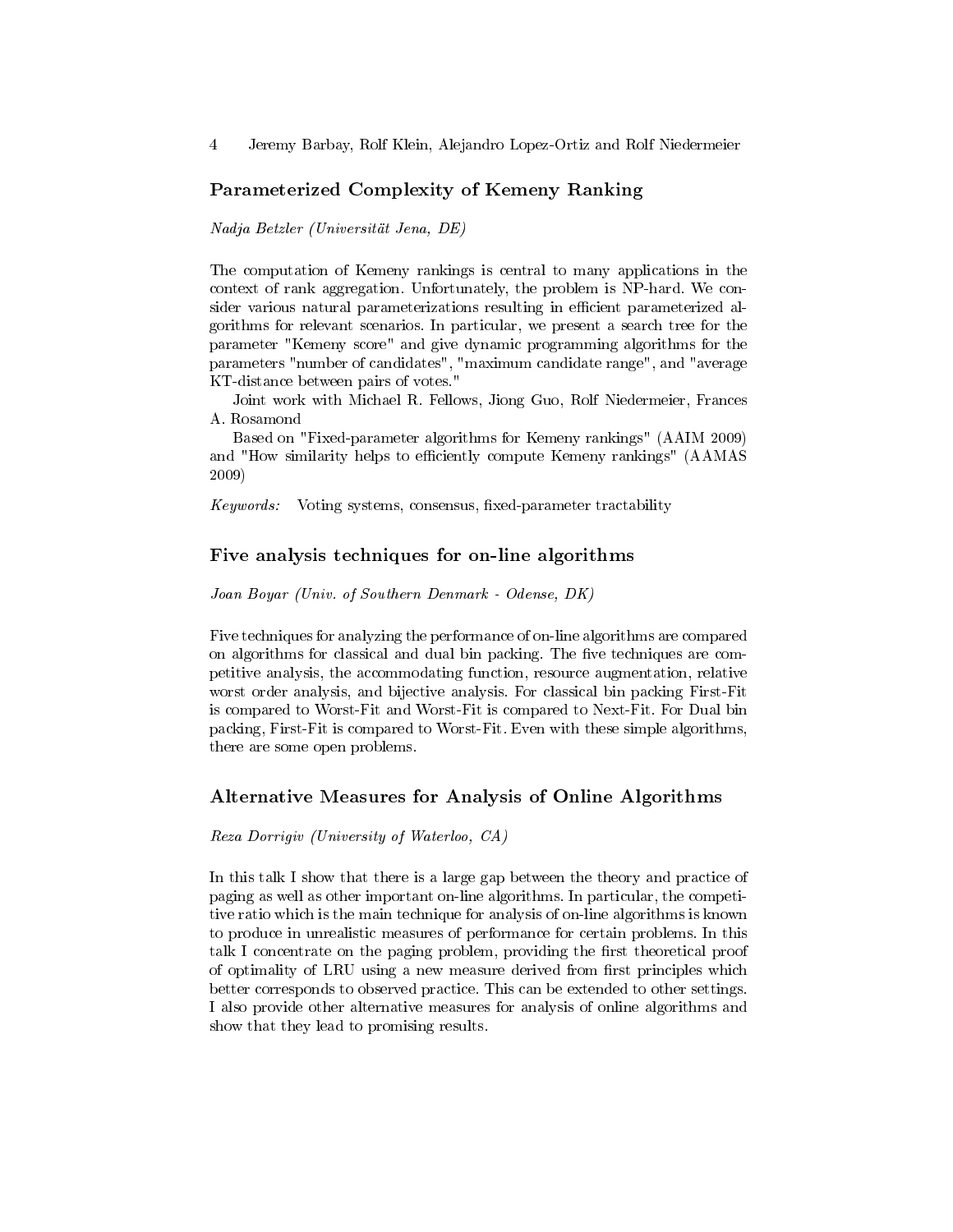### Parameterized Complexity of Kemeny Ranking

Nadja Betzler (Universität Jena, DE)

The computation of Kemeny rankings is central to many applications in the context of rank aggregation. Unfortunately, the problem is NP-hard. We consider various natural parameterizations resulting in efficient parameterized algorithms for relevant scenarios. In particular, we present a search tree for the parameter "Kemeny score" and give dynamic programming algorithms for the parameters "number of candidates", "maximum candidate range", and "average KT-distance between pairs of votes."

Joint work with Michael R. Fellows, Jiong Guo, Rolf Niedermeier, Frances A. Rosamond

Based on "Fixed-parameter algorithms for Kemeny rankings" (AAIM 2009) and "How similarity helps to efficiently compute Kemeny rankings" (AAMAS 2009)

Keywords: Voting systems, consensus, fixed-parameter tractability

## Five analysis techniques for on-line algorithms

Joan Boyar (Univ. of Southern Denmark - Odense, DK)

Five techniques for analyzing the performance of on-line algorithms are compared on algorithms for classical and dual bin packing. The five techniques are competitive analysis, the accommodating function, resource augmentation, relative worst order analysis, and bijective analysis. For classical bin packing First-Fit is compared to Worst-Fit and Worst-Fit is compared to Next-Fit. For Dual bin packing, First-Fit is compared to Worst-Fit. Even with these simple algorithms, there are some open problems.

### Alternative Measures for Analysis of Online Algorithms

Reza Dorrigiv (University of Waterloo, CA)

In this talk I show that there is a large gap between the theory and practice of paging as well as other important on-line algorithms. In particular, the competitive ratio which is the main technique for analysis of on-line algorithms is known to produce in unrealistic measures of performance for certain problems. In this talk I concentrate on the paging problem, providing the first theoretical proof of optimality of LRU using a new measure derived from first principles which better corresponds to observed practice. This can be extended to other settings. I also provide other alternative measures for analysis of online algorithms and show that they lead to promising results.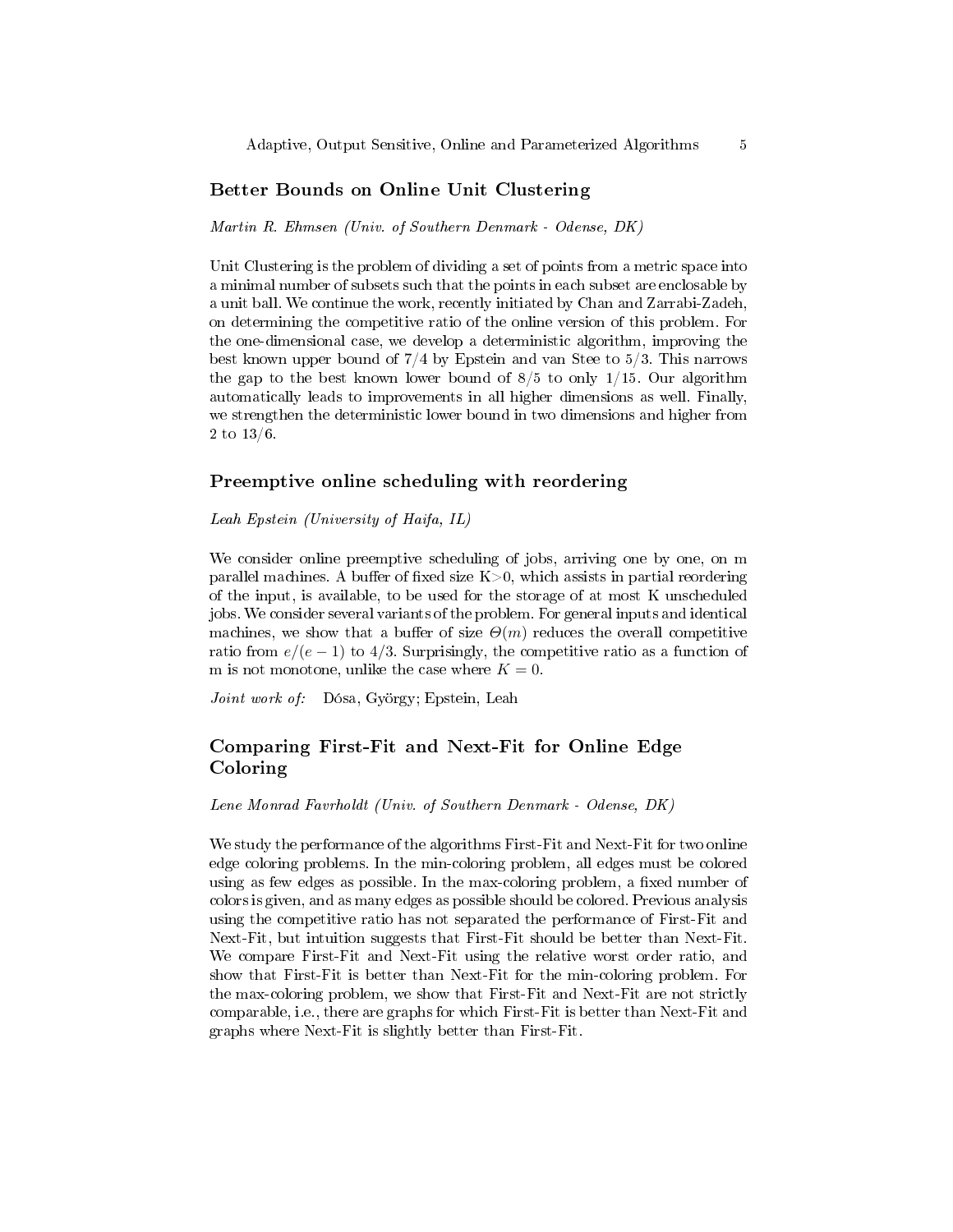## Better Bounds on Online Unit Clustering

Martin R. Ehmsen (Univ. of Southern Denmark - Odense, DK)

Unit Clustering is the problem of dividing a set of points from a metric space into a minimal number of subsets such that the points in each subset are enclosable by a unit ball. We continue the work, recently initiated by Chan and Zarrabi-Zadeh, on determining the competitive ratio of the online version of this problem. For the one-dimensional case, we develop a deterministic algorithm, improving the best known upper bound of 7/4 by Epstein and van Stee to 5/3. This narrows the gap to the best known lower bound of  $8/5$  to only  $1/15$ . Our algorithm automatically leads to improvements in all higher dimensions as well. Finally, we strengthen the deterministic lower bound in two dimensions and higher from 2 to 13/6.

#### Preemptive online scheduling with reordering

Leah Epstein (University of Haifa, IL)

We consider online preemptive scheduling of jobs, arriving one by one, on m parallel machines. A buffer of fixed size  $K>0$ , which assists in partial reordering of the input, is available, to be used for the storage of at most K unscheduled jobs. We consider several variants of the problem. For general inputs and identical machines, we show that a buffer of size  $\Theta(m)$  reduces the overall competitive ratio from  $e/(e-1)$  to 4/3. Surprisingly, the competitive ratio as a function of m is not monotone, unlike the case where  $K = 0$ .

Joint work of: Dósa, György; Epstein, Leah

## Comparing First-Fit and Next-Fit for Online Edge Coloring

Lene Monrad Favrholdt (Univ. of Southern Denmark - Odense, DK)

We study the performance of the algorithms First-Fit and Next-Fit for two online edge coloring problems. In the min-coloring problem, all edges must be colored using as few edges as possible. In the max-coloring problem, a fixed number of colors is given, and as many edges as possible should be colored. Previous analysis using the competitive ratio has not separated the performance of First-Fit and Next-Fit, but intuition suggests that First-Fit should be better than Next-Fit. We compare First-Fit and Next-Fit using the relative worst order ratio, and show that First-Fit is better than Next-Fit for the min-coloring problem. For the max-coloring problem, we show that First-Fit and Next-Fit are not strictly comparable, i.e., there are graphs for which First-Fit is better than Next-Fit and graphs where Next-Fit is slightly better than First-Fit.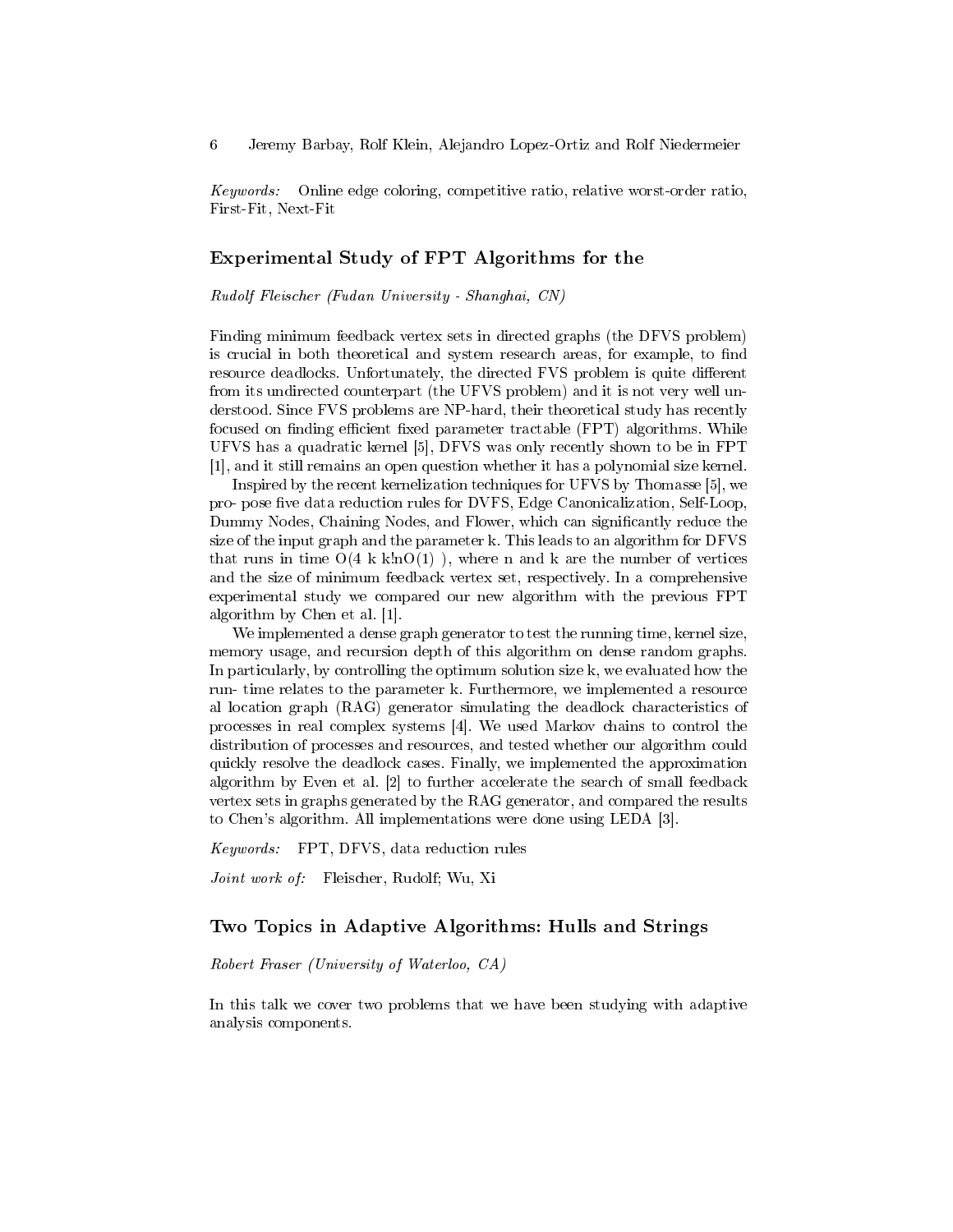Keywords: Online edge coloring, competitive ratio, relative worst-order ratio, First-Fit, Next-Fit

### Experimental Study of FPT Algorithms for the

Rudolf Fleischer (Fudan University - Shanghai, CN)

Finding minimum feedback vertex sets in directed graphs (the DFVS problem) is crucial in both theoretical and system research areas, for example, to find resource deadlocks. Unfortunately, the directed FVS problem is quite different from its undirected counterpart (the UFVS problem) and it is not very well understood. Since FVS problems are NP-hard, their theoretical study has recently focused on finding efficient fixed parameter tractable (FPT) algorithms. While UFVS has a quadratic kernel [5], DFVS was only recently shown to be in FPT [1], and it still remains an open question whether it has a polynomial size kernel.

Inspired by the recent kernelization techniques for UFVS by Thomasse [5], we pro- pose five data reduction rules for DVFS, Edge Canonicalization, Self-Loop, Dummy Nodes, Chaining Nodes, and Flower, which can significantly reduce the size of the input graph and the parameter k. This leads to an algorithm for DFVS that runs in time  $O(4 k k!nO(1))$ , where n and k are the number of vertices and the size of minimum feedback vertex set, respectively. In a comprehensive experimental study we compared our new algorithm with the previous FPT algorithm by Chen et al. [1].

We implemented a dense graph generator to test the running time, kernel size, memory usage, and recursion depth of this algorithm on dense random graphs. In particularly, by controlling the optimum solution size k, we evaluated how the run- time relates to the parameter k. Furthermore, we implemented a resource al location graph (RAG) generator simulating the deadlock characteristics of processes in real complex systems [4]. We used Markov chains to control the distribution of processes and resources, and tested whether our algorithm could quickly resolve the deadlock cases. Finally, we implemented the approximation algorithm by Even et al. [2] to further accelerate the search of small feedback vertex sets in graphs generated by the RAG generator, and compared the results to Chen's algorithm. All implementations were done using LEDA [3].

Keywords: FPT, DFVS, data reduction rules

Joint work of: Fleischer, Rudolf; Wu, Xi

## Two Topics in Adaptive Algorithms: Hulls and Strings

Robert Fraser (University of Waterloo, CA)

In this talk we cover two problems that we have been studying with adaptive analysis components.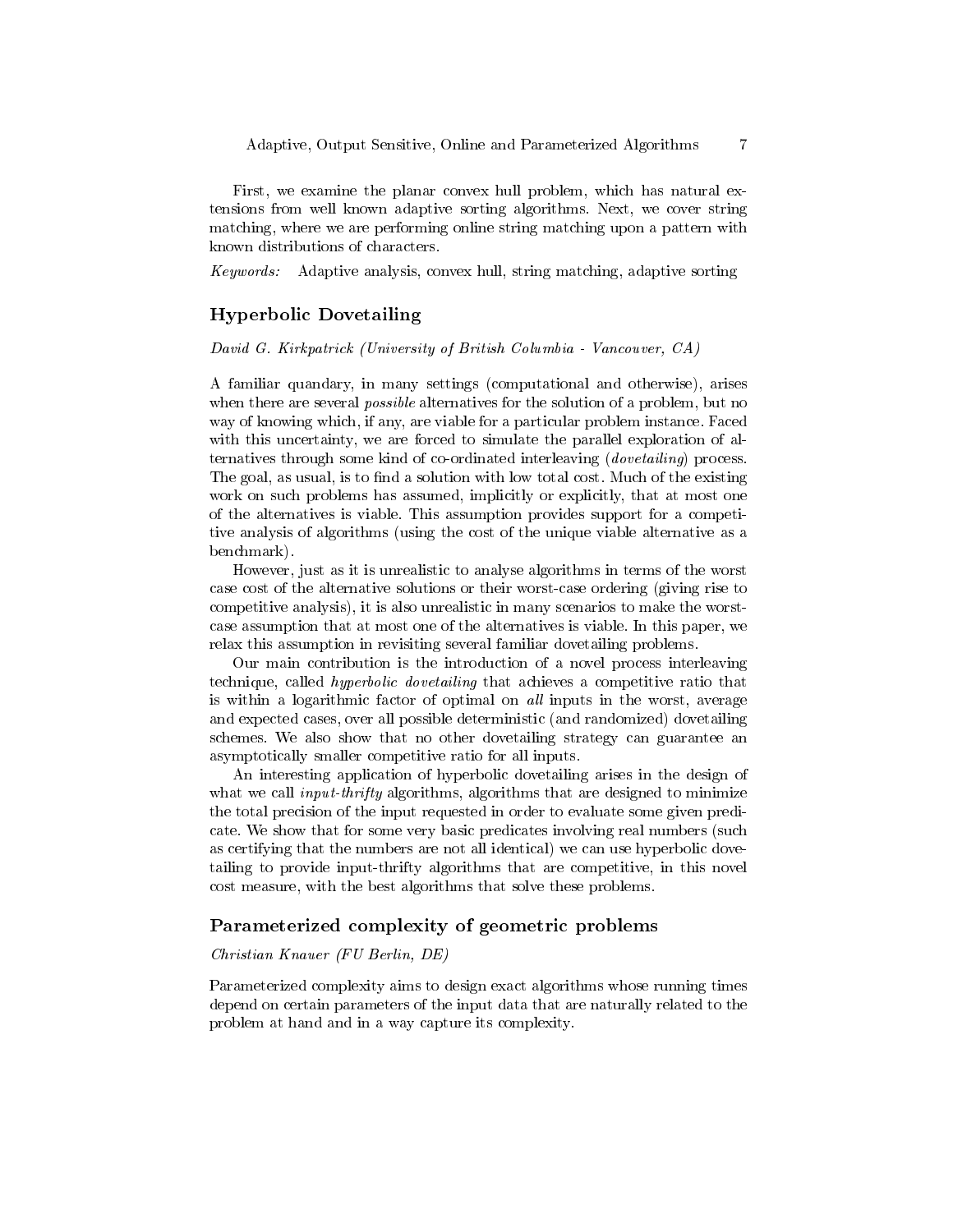First, we examine the planar convex hull problem, which has natural extensions from well known adaptive sorting algorithms. Next, we cover string matching, where we are performing online string matching upon a pattern with known distributions of characters.

Keywords: Adaptive analysis, convex hull, string matching, adaptive sorting

## Hyperbolic Dovetailing

David G. Kirkpatrick (University of British Columbia - Vancouver, CA)

A familiar quandary, in many settings (computational and otherwise), arises when there are several *possible* alternatives for the solution of a problem, but no way of knowing which, if any, are viable for a particular problem instance. Faced with this uncertainty, we are forced to simulate the parallel exploration of alternatives through some kind of co-ordinated interleaving (dovetailing) process. The goal, as usual, is to find a solution with low total cost. Much of the existing work on such problems has assumed, implicitly or explicitly, that at most one of the alternatives is viable. This assumption provides support for a competitive analysis of algorithms (using the cost of the unique viable alternative as a benchmark).

However, just as it is unrealistic to analyse algorithms in terms of the worst case cost of the alternative solutions or their worst-case ordering (giving rise to competitive analysis), it is also unrealistic in many scenarios to make the worstcase assumption that at most one of the alternatives is viable. In this paper, we relax this assumption in revisiting several familiar dovetailing problems.

Our main contribution is the introduction of a novel process interleaving technique, called hyperbolic dovetailing that achieves a competitive ratio that is within a logarithmic factor of optimal on all inputs in the worst, average and expected cases, over all possible deterministic (and randomized) dovetailing schemes. We also show that no other dovetailing strategy can guarantee an asymptotically smaller competitive ratio for all inputs.

An interesting application of hyperbolic dovetailing arises in the design of what we call *input-thrifty* algorithms, algorithms that are designed to minimize the total precision of the input requested in order to evaluate some given predicate. We show that for some very basic predicates involving real numbers (such as certifying that the numbers are not all identical) we can use hyperbolic dovetailing to provide input-thrifty algorithms that are competitive, in this novel cost measure, with the best algorithms that solve these problems.

### Parameterized complexity of geometric problems

#### Christian Knauer (FU Berlin, DE)

Parameterized complexity aims to design exact algorithms whose running times depend on certain parameters of the input data that are naturally related to the problem at hand and in a way capture its complexity.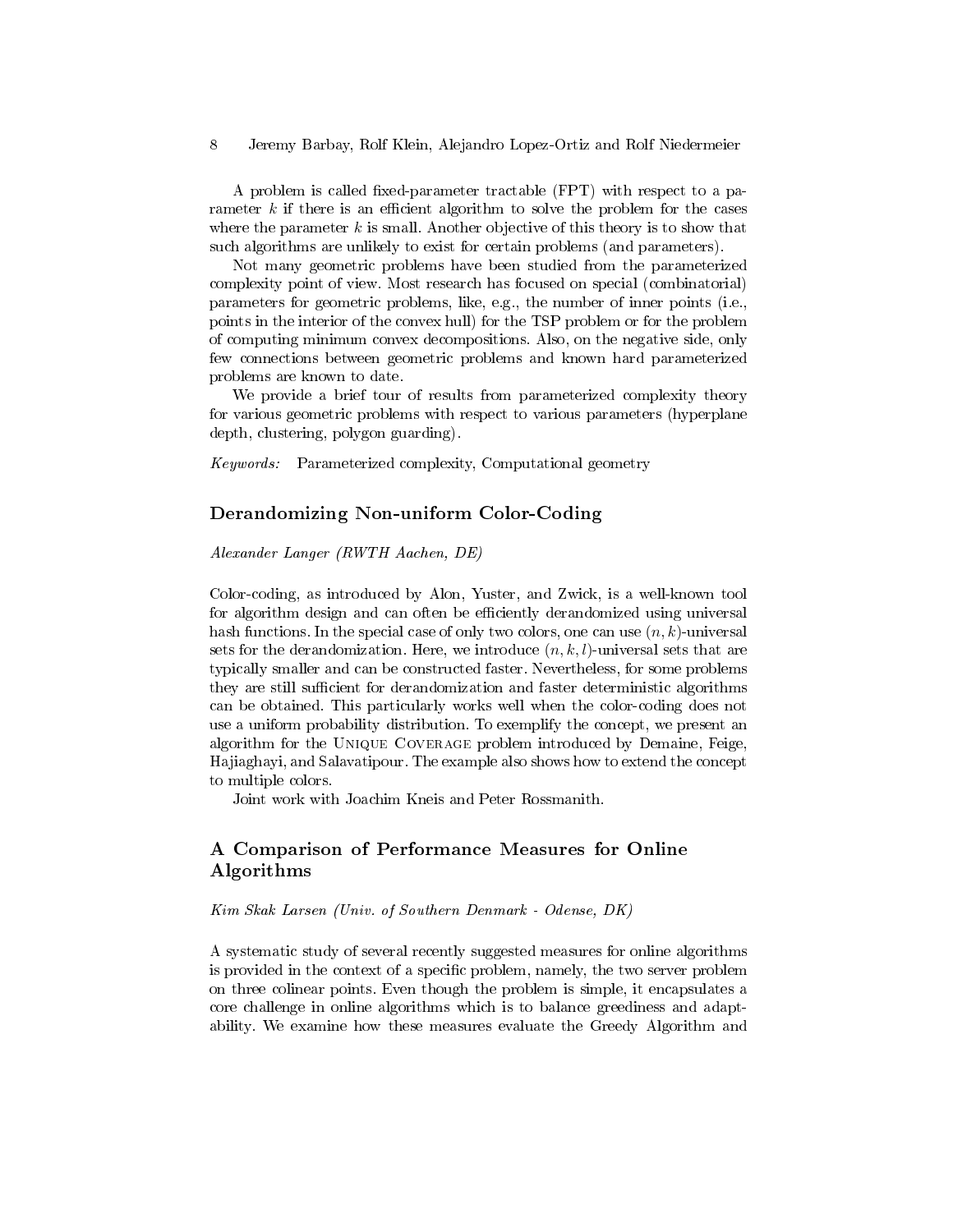A problem is called fixed-parameter tractable (FPT) with respect to a parameter  $k$  if there is an efficient algorithm to solve the problem for the cases where the parameter  $k$  is small. Another objective of this theory is to show that such algorithms are unlikely to exist for certain problems (and parameters).

Not many geometric problems have been studied from the parameterized complexity point of view. Most research has focused on special (combinatorial) parameters for geometric problems, like, e.g., the number of inner points (i.e., points in the interior of the convex hull) for the TSP problem or for the problem of computing minimum convex decompositions. Also, on the negative side, only few connections between geometric problems and known hard parameterized problems are known to date.

We provide a brief tour of results from parameterized complexity theory for various geometric problems with respect to various parameters (hyperplane depth, clustering, polygon guarding).

Keywords: Parameterized complexity, Computational geometry

## Derandomizing Non-uniform Color-Coding

Alexander Langer (RWTH Aachen, DE)

Color-coding, as introduced by Alon, Yuster, and Zwick, is a well-known tool for algorithm design and can often be efficiently derandomized using universal hash functions. In the special case of only two colors, one can use  $(n, k)$ -universal sets for the derandomization. Here, we introduce  $(n, k, l)$ -universal sets that are typically smaller and can be constructed faster. Nevertheless, for some problems they are still sufficient for derandomization and faster deterministic algorithms can be obtained. This particularly works well when the color-coding does not use a uniform probability distribution. To exemplify the concept, we present an algorithm for the Unique Coverage problem introduced by Demaine, Feige, Hajiaghayi, and Salavatipour. The example also shows how to extend the concept to multiple colors.

Joint work with Joachim Kneis and Peter Rossmanith.

## A Comparison of Performance Measures for Online Algorithms

Kim Skak Larsen (Univ. of Southern Denmark - Odense, DK)

A systematic study of several recently suggested measures for online algorithms is provided in the context of a specific problem, namely, the two server problem on three colinear points. Even though the problem is simple, it encapsulates a core challenge in online algorithms which is to balance greediness and adaptability. We examine how these measures evaluate the Greedy Algorithm and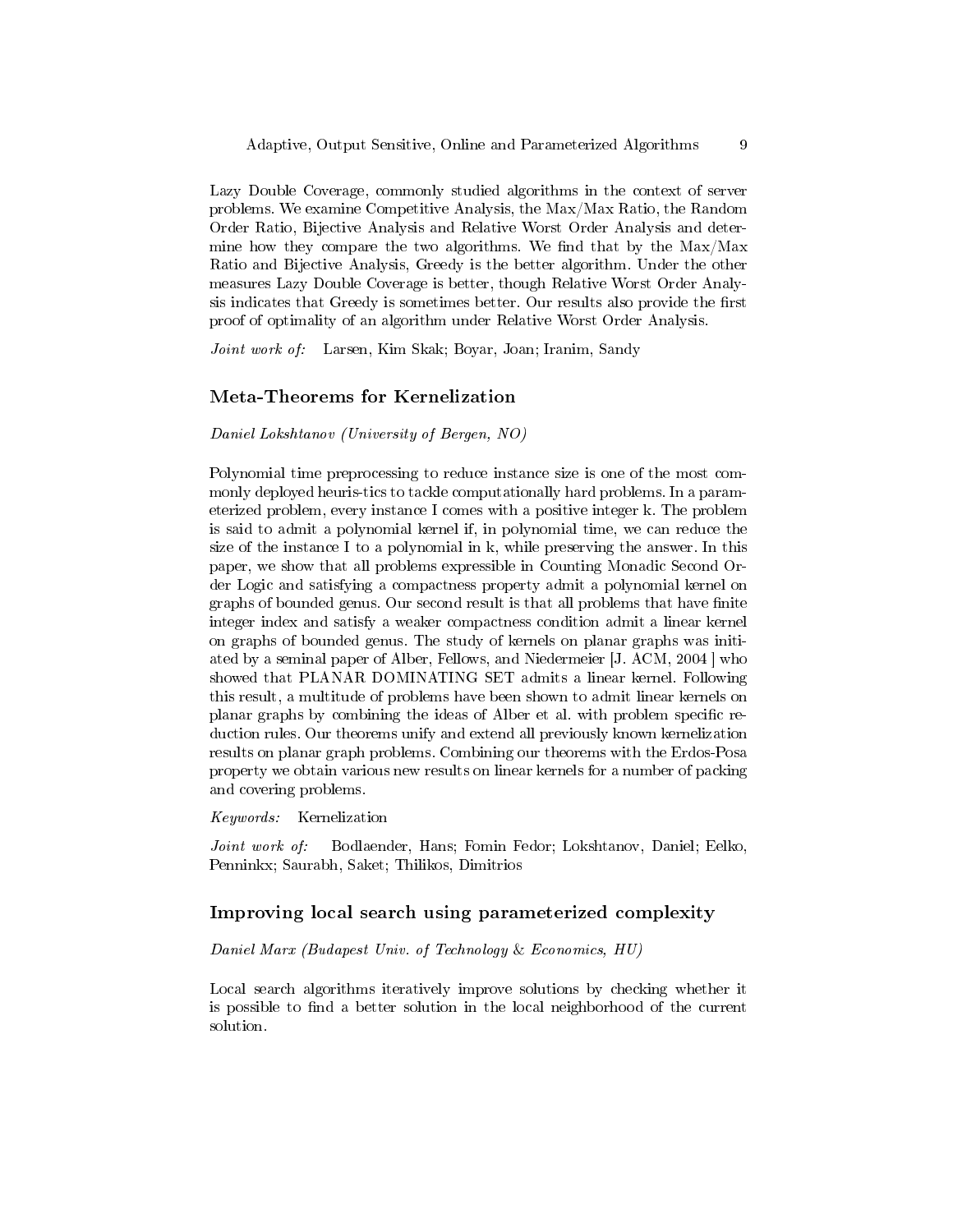Lazy Double Coverage, commonly studied algorithms in the context of server problems. We examine Competitive Analysis, the Max/Max Ratio, the Random Order Ratio, Bijective Analysis and Relative Worst Order Analysis and determine how they compare the two algorithms. We find that by the  $Max/Max$ Ratio and Bijective Analysis, Greedy is the better algorithm. Under the other measures Lazy Double Coverage is better, though Relative Worst Order Analysis indicates that Greedy is sometimes better. Our results also provide the first proof of optimality of an algorithm under Relative Worst Order Analysis.

Joint work of: Larsen, Kim Skak; Boyar, Joan; Iranim, Sandy

#### Meta-Theorems for Kernelization

Daniel Lokshtanov (University of Bergen, NO)

Polynomial time preprocessing to reduce instance size is one of the most commonly deployed heuris-tics to tackle computationally hard problems. In a parameterized problem, every instance I comes with a positive integer k. The problem is said to admit a polynomial kernel if, in polynomial time, we can reduce the size of the instance I to a polynomial in k, while preserving the answer. In this paper, we show that all problems expressible in Counting Monadic Second Order Logic and satisfying a compactness property admit a polynomial kernel on graphs of bounded genus. Our second result is that all problems that have finite integer index and satisfy a weaker compactness condition admit a linear kernel on graphs of bounded genus. The study of kernels on planar graphs was initiated by a seminal paper of Alber, Fellows, and Niedermeier [J. ACM, 2004 ] who showed that PLANAR DOMINATING SET admits a linear kernel. Following this result, a multitude of problems have been shown to admit linear kernels on planar graphs by combining the ideas of Alber et al. with problem specific reduction rules. Our theorems unify and extend all previously known kernelization results on planar graph problems. Combining our theorems with the Erdos-Posa property we obtain various new results on linear kernels for a number of packing and covering problems.

#### Keywords: Kernelization

Joint work of: Bodlaender, Hans; Fomin Fedor; Lokshtanov, Daniel; Eelko, Penninkx; Saurabh, Saket; Thilikos, Dimitrios

### Improving local search using parameterized complexity

#### Daniel Marx (Budapest Univ. of Technology & Economics, HU)

Local search algorithms iteratively improve solutions by checking whether it is possible to find a better solution in the local neighborhood of the current solution.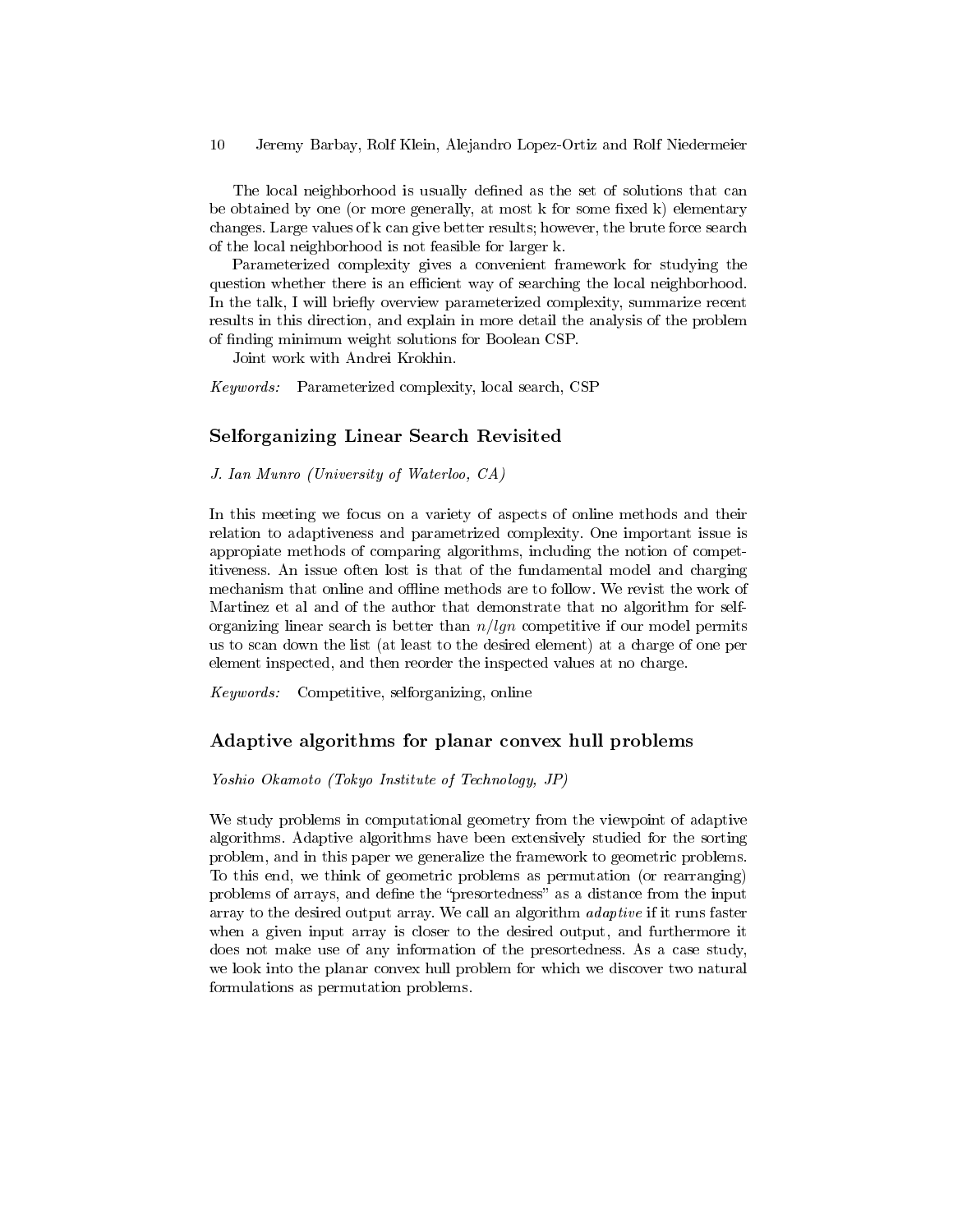The local neighborhood is usually defined as the set of solutions that can be obtained by one (or more generally, at most  $k$  for some fixed  $k$ ) elementary changes. Large values of k can give better results; however, the brute force search of the local neighborhood is not feasible for larger k.

Parameterized complexity gives a convenient framework for studying the question whether there is an efficient way of searching the local neighborhood. In the talk, I will briefly overview parameterized complexity, summarize recent results in this direction, and explain in more detail the analysis of the problem of finding minimum weight solutions for Boolean CSP.

Joint work with Andrei Krokhin.

Keywords: Parameterized complexity, local search, CSP

## Selforganizing Linear Search Revisited

J. Ian Munro (University of Waterloo, CA)

In this meeting we focus on a variety of aspects of online methods and their relation to adaptiveness and parametrized complexity. One important issue is appropiate methods of comparing algorithms, including the notion of competitiveness. An issue often lost is that of the fundamental model and charging mechanism that online and offline methods are to follow. We revist the work of Martinez et al and of the author that demonstrate that no algorithm for selforganizing linear search is better than  $n/lgn$  competitive if our model permits us to scan down the list (at least to the desired element) at a charge of one per element inspected, and then reorder the inspected values at no charge.

Keywords: Competitive, selforganizing, online

## Adaptive algorithms for planar convex hull problems

Yoshio Okamoto (Tokyo Institute of Technology, JP)

We study problems in computational geometry from the viewpoint of adaptive algorithms. Adaptive algorithms have been extensively studied for the sorting problem, and in this paper we generalize the framework to geometric problems. To this end, we think of geometric problems as permutation (or rearranging) problems of arrays, and define the "presortedness" as a distance from the input array to the desired output array. We call an algorithm adaptive if it runs faster when a given input array is closer to the desired output, and furthermore it does not make use of any information of the presortedness. As a case study, we look into the planar convex hull problem for which we discover two natural formulations as permutation problems.